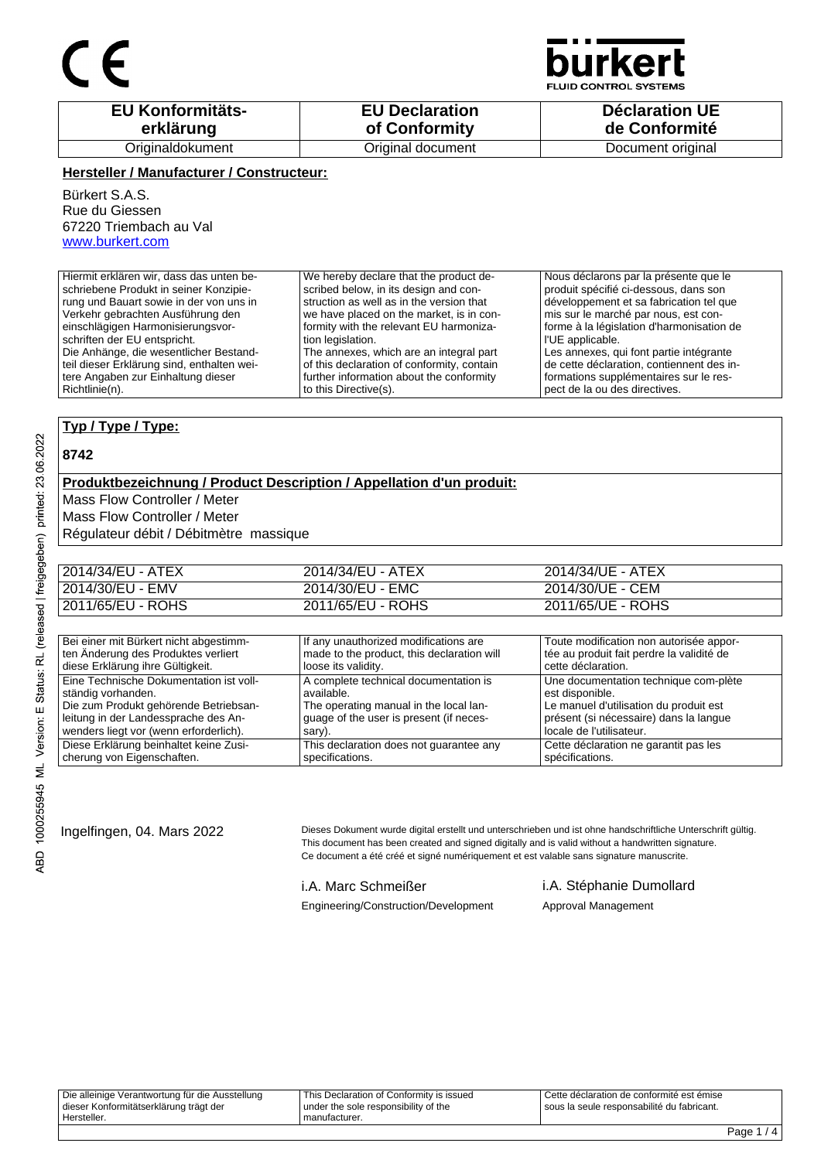## $\epsilon$



**FLUID CONTROL SYSTEMS** 

| <b>EU Konformitäts-</b> | <b>EU Declaration</b> | <b>Déclaration UE</b> |
|-------------------------|-----------------------|-----------------------|
| erklärung               | of Conformity         | de Conformité         |
| Originaldokument        | Original document     | Document original     |

#### **Hersteller / Manufacturer / Constructeur:**

Bürkert S.A.S. Rue du Giessen 67220 Triembach au Val www.burkert.com

| Hiermit erklären wir, dass das unten be-   | We hereby declare that the product de-     | Nous déclarons par la présente que le     |
|--------------------------------------------|--------------------------------------------|-------------------------------------------|
| schriebene Produkt in seiner Konzipie-     | scribed below, in its design and con-      | produit spécifié ci-dessous, dans son     |
| rung und Bauart sowie in der von uns in    | struction as well as in the version that   | développement et sa fabrication tel que   |
| Verkehr gebrachten Ausführung den          | we have placed on the market, is in con-   | mis sur le marché par nous, est con-      |
| einschlägigen Harmonisierungsvor-          | formity with the relevant EU harmoniza-    | forme à la législation d'harmonisation de |
| schriften der EU entspricht.               | tion legislation.                          | l l'UE applicable.                        |
| Die Anhänge, die wesentlicher Bestand-     | The annexes, which are an integral part    | Les annexes, qui font partie intégrante   |
| teil dieser Erklärung sind, enthalten wei- | of this declaration of conformity, contain | de cette déclaration, contiennent des in- |
| tere Angaben zur Einhaltung dieser         | further information about the conformity   | formations supplémentaires sur le res-    |
| Richtlinie(n).                             | to this Directive(s).                      | pect de la ou des directives.             |

#### **Typ / Type / Type:**

#### **8742**

#### **Produktbezeichnung / Product Description / Appellation d'un produit:**

Mass Flow Controller / Meter

Mass Flow Controller / Meter

Régulateur débit / Débitmètre massique

| 2014/34/EU - ATEX | 2014/34/EU - ATEX | 2014/34/UE - ATEX |
|-------------------|-------------------|-------------------|
| 2014/30/EU - EMV  | 2014/30/EU - EMC  | 2014/30/UE - CEM  |
| 2011/65/EU - ROHS | 2011/65/EU - ROHS | 2011/65/UE - ROHS |

| Bei einer mit Bürkert nicht abgestimm-  | If any unauthorized modifications are      | Toute modification non autorisée appor-   |
|-----------------------------------------|--------------------------------------------|-------------------------------------------|
| ten Änderung des Produktes verliert     | made to the product, this declaration will | tée au produit fait perdre la validité de |
| diese Erklärung ihre Gültigkeit.        | loose its validity.                        | cette déclaration.                        |
| Eine Technische Dokumentation ist voll- | A complete technical documentation is      | Une documentation technique com-plète     |
| ständig vorhanden.                      | available.                                 | est disponible.                           |
| Die zum Produkt gehörende Betriebsan-   | The operating manual in the local lan-     | Le manuel d'utilisation du produit est    |
| leitung in der Landessprache des An-    | quage of the user is present (if neces-    | présent (si nécessaire) dans la langue    |
| wenders liegt vor (wenn erforderlich).  | sary).                                     | locale de l'utilisateur.                  |
| Diese Erklärung beinhaltet keine Zusi-  | This declaration does not quarantee any    | Cette déclaration ne garantit pas les     |
| cherung von Eigenschaften.              | specifications.                            | spécifications.                           |

Ingelfingen, 04. Mars 2022 Dieses Dokument wurde digital erstellt und unterschrieben und ist ohne handschriftliche Unterschrift gültig. This document has been created and signed digitally and is valid without a handwritten signature. Ce document a été créé et signé numériquement et est valable sans signature manuscrite.

Engineering/Construction/Development Approval Management

### i.A. Marc Schmeißer i.A. Stéphanie Dumollard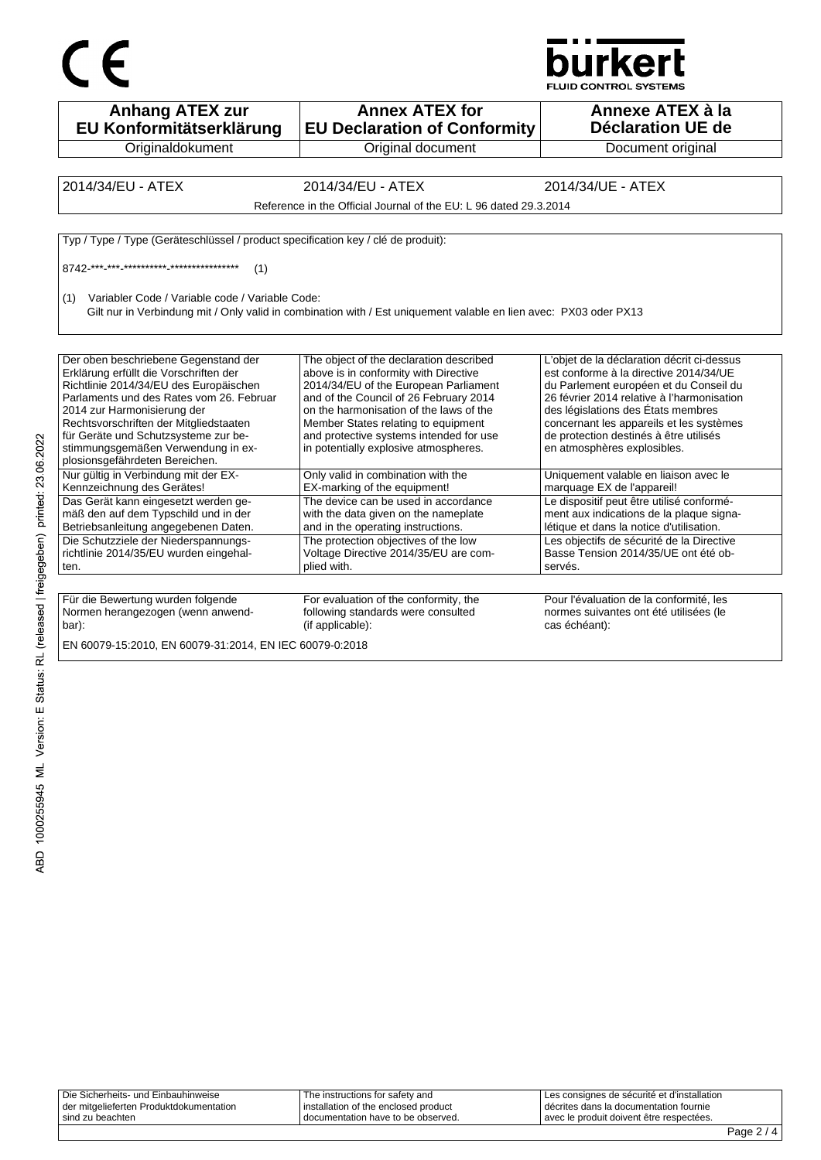



| <b>Anhang ATEX zur</b><br>EU Konformitätserklärung                                                                                                                                                                                                                                                                          | <b>Annex ATEX for</b><br><b>EU Declaration of Conformity</b>                                                                                                                                                                                                                                                                              | Annexe ATEX à la<br><b>Déclaration UE de</b>                                                                                                                                                                                                                                                                                            |
|-----------------------------------------------------------------------------------------------------------------------------------------------------------------------------------------------------------------------------------------------------------------------------------------------------------------------------|-------------------------------------------------------------------------------------------------------------------------------------------------------------------------------------------------------------------------------------------------------------------------------------------------------------------------------------------|-----------------------------------------------------------------------------------------------------------------------------------------------------------------------------------------------------------------------------------------------------------------------------------------------------------------------------------------|
| Originaldokument                                                                                                                                                                                                                                                                                                            | Original document                                                                                                                                                                                                                                                                                                                         | Document original                                                                                                                                                                                                                                                                                                                       |
|                                                                                                                                                                                                                                                                                                                             |                                                                                                                                                                                                                                                                                                                                           |                                                                                                                                                                                                                                                                                                                                         |
| 2014/34/EU - ATEX                                                                                                                                                                                                                                                                                                           | 2014/34/EU - ATEX                                                                                                                                                                                                                                                                                                                         | 2014/34/UE - ATEX                                                                                                                                                                                                                                                                                                                       |
|                                                                                                                                                                                                                                                                                                                             | Reference in the Official Journal of the EU: L 96 dated 29.3.2014                                                                                                                                                                                                                                                                         |                                                                                                                                                                                                                                                                                                                                         |
| Typ / Type / Type (Geräteschlüssel / product specification key / clé de produit):                                                                                                                                                                                                                                           |                                                                                                                                                                                                                                                                                                                                           |                                                                                                                                                                                                                                                                                                                                         |
| (1)                                                                                                                                                                                                                                                                                                                         |                                                                                                                                                                                                                                                                                                                                           |                                                                                                                                                                                                                                                                                                                                         |
| Variabler Code / Variable code / Variable Code:<br>(1)                                                                                                                                                                                                                                                                      | Gilt nur in Verbindung mit / Only valid in combination with / Est uniquement valable en lien avec: PX03 oder PX13                                                                                                                                                                                                                         |                                                                                                                                                                                                                                                                                                                                         |
| Der oben beschriebene Gegenstand der<br>Erklärung erfüllt die Vorschriften der<br>Richtlinie 2014/34/EU des Europäischen<br>Parlaments und des Rates vom 26. Februar<br>2014 zur Harmonisierung der<br>Rechtsvorschriften der Mitgliedstaaten<br>für Geräte und Schutzsysteme zur be-<br>stimmungsgemäßen Verwendung in ex- | The object of the declaration described<br>above is in conformity with Directive<br>2014/34/EU of the European Parliament<br>and of the Council of 26 February 2014<br>on the harmonisation of the laws of the<br>Member States relating to equipment<br>and protective systems intended for use<br>in potentially explosive atmospheres. | L'objet de la déclaration décrit ci-dessus<br>est conforme à la directive 2014/34/UE<br>du Parlement européen et du Conseil du<br>26 février 2014 relative à l'harmonisation<br>des législations des États membres<br>concernant les appareils et les systèmes<br>de protection destinés à être utilisés<br>en atmosphères explosibles. |
| plosionsgefährdeten Bereichen.<br>Nur gültig in Verbindung mit der EX-<br>Kennzeichnung des Gerätes!                                                                                                                                                                                                                        | Only valid in combination with the<br>EX-marking of the equipment!                                                                                                                                                                                                                                                                        | Uniquement valable en liaison avec le<br>marquage EX de l'appareil!                                                                                                                                                                                                                                                                     |
| Das Gerät kann eingesetzt werden ge-<br>mäß den auf dem Typschild und in der<br>Betriebsanleitung angegebenen Daten.                                                                                                                                                                                                        | The device can be used in accordance<br>with the data given on the nameplate<br>and in the operating instructions.                                                                                                                                                                                                                        | Le dispositif peut être utilisé conformé-<br>ment aux indications de la plaque signa-<br>létique et dans la notice d'utilisation.                                                                                                                                                                                                       |
| Die Schutzziele der Niederspannungs-<br>richtlinie 2014/35/EU wurden eingehal-<br>ten.                                                                                                                                                                                                                                      | The protection objectives of the low<br>Voltage Directive 2014/35/EU are com-<br>plied with.                                                                                                                                                                                                                                              | Les objectifs de sécurité de la Directive<br>Basse Tension 2014/35/UE ont été ob-<br>servés.                                                                                                                                                                                                                                            |
|                                                                                                                                                                                                                                                                                                                             |                                                                                                                                                                                                                                                                                                                                           |                                                                                                                                                                                                                                                                                                                                         |
| Für die Bewertung wurden folgende<br>Normen herangezogen (wenn anwend-<br>bar):                                                                                                                                                                                                                                             | For evaluation of the conformity, the<br>following standards were consulted<br>(if applicable):                                                                                                                                                                                                                                           | Pour l'évaluation de la conformité, les<br>normes suivantes ont été utilisées (le<br>cas échéant):                                                                                                                                                                                                                                      |
| EN 60079-15:2010, EN 60079-31:2014, EN IEC 60079-0:2018                                                                                                                                                                                                                                                                     |                                                                                                                                                                                                                                                                                                                                           |                                                                                                                                                                                                                                                                                                                                         |

| Die Sicherheits- und Einbauhinweise     | The instructions for safety and      | Les consignes de sécurité et d'installation |
|-----------------------------------------|--------------------------------------|---------------------------------------------|
| der mitgelieferten Produktdokumentation | installation of the enclosed product | décrites dans la documentation fournie      |
| sind zu beachten                        | I documentation have to be observed. | avec le produit doivent être respectées.    |
|                                         |                                      |                                             |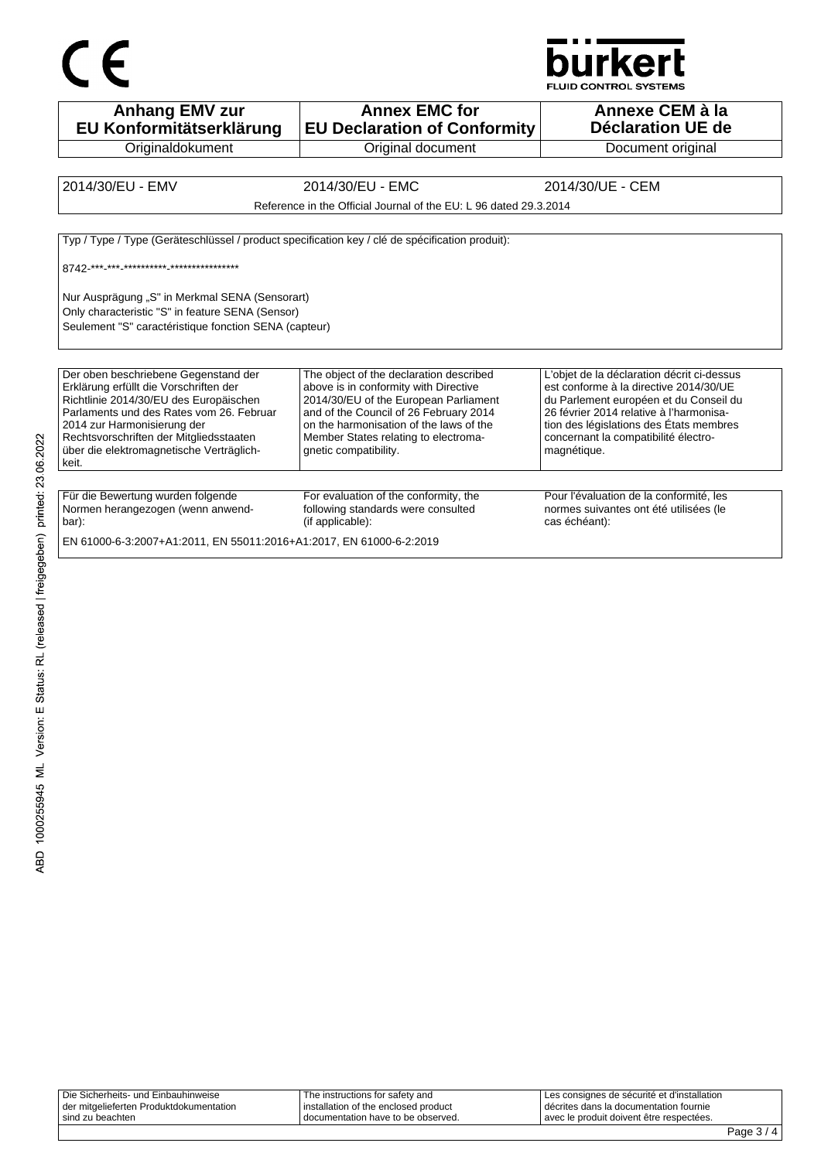

**Anhang EMV zur EU Konformitätserklärung Originaldokument Annex EMC for EU Declaration of Conformity** Original document **Annexe CEM à la Déclaration UE de**  Document original 2014/30/EU - EMV 2014/30/EU - EMC 2014/30/UE - CEM Reference in the Official Journal of the EU: L 96 dated 29.3.2014 Typ / Type / Type (Geräteschlüssel / product specification key / clé de spécification produit): 8742-\*\*\*-\*\*\*-\*\*\*\*\*\*\*\*\*\*-\*\*\*\*\*\*\*\*\*\*\*\*\*\*\* Nur Ausprägung "S" in Merkmal SENA (Sensorart) Only characteristic "S" in feature SENA (Sensor) Seulement "S" caractéristique fonction SENA (capteur) Der oben beschriebene Gegenstand der Erklärung erfüllt die Vorschriften der Richtlinie 2014/30/EU des Europäischen Parlaments und des Rates vom 26. Februar 2014 zur Harmonisierung der Rechtsvorschriften der Mitgliedsstaaten über die elektromagnetische Verträglichkeit. The object of the declaration described above is in conformity with Directive 2014/30/EU of the European Parliament and of the Council of 26 February 2014 on the harmonisation of the laws of the Member States relating to electromagnetic compatibility. L'objet de la déclaration décrit ci-dessus est conforme à la directive 2014/30/UE du Parlement européen et du Conseil du 26 février 2014 relative à l'harmonisation des législations des États membres concernant la compatibilité électromagnétique. Für die Bewertung wurden folgende Normen herangezogen (wenn anwendbar): For evaluation of the conformity, the following standards were consulted (if applicable): Pour l'évaluation de la conformité, les normes suivantes ont été utilisées (le cas échéant):

EN 61000-6-3:2007+A1:2011, EN 55011:2016+A1:2017, EN 61000-6-2:2019

| sind zu beachten                        | I documentation have to be observed.   | avec le produit doivent être respectées.      |  |
|-----------------------------------------|----------------------------------------|-----------------------------------------------|--|
| der mitgelieferten Produktdokumentation | l installation of the enclosed product | I décrites dans la documentation fournie      |  |
| Die Sicherheits- und Einbauhinweise     | The instructions for safety and        | I Les consignes de sécurité et d'installation |  |
|                                         |                                        |                                               |  |